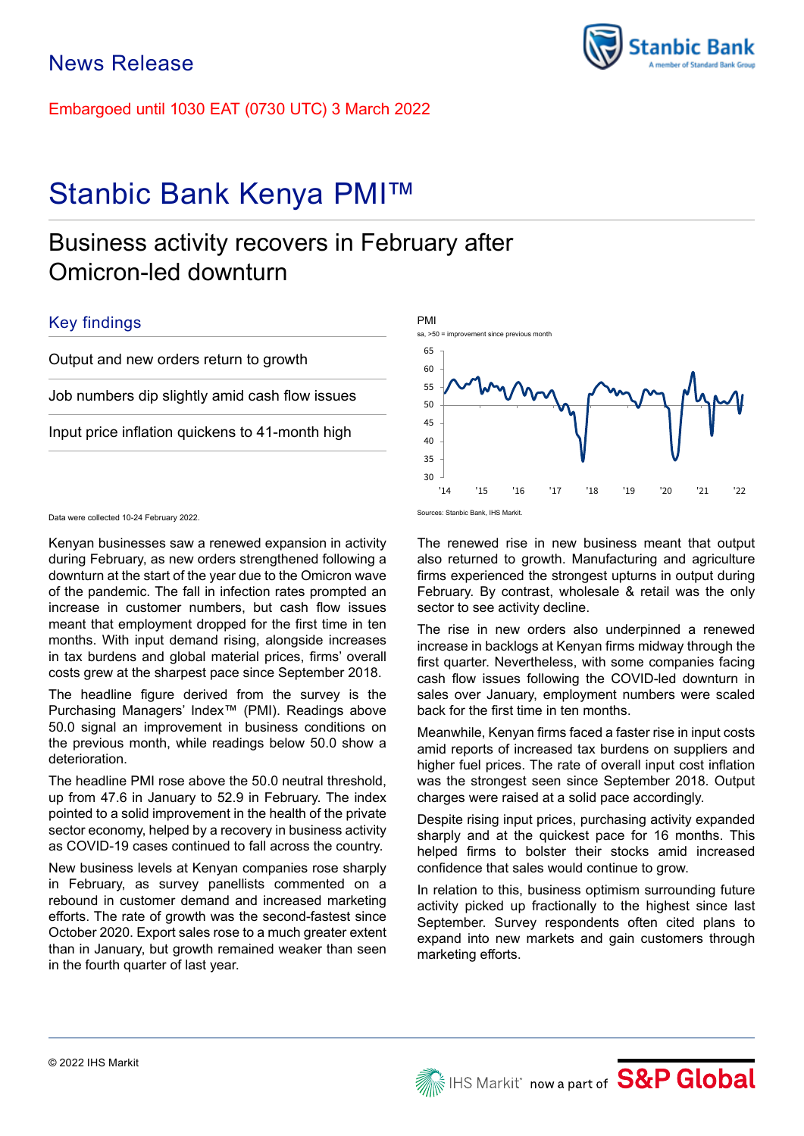Embargoed until 1030 EAT (0730 UTC) 3 March 2022

# Stanbic Bank Kenya PMI™

## Business activity recovers in February after Omicron-led downturn

## Key findings

Output and new orders return to growth

Job numbers dip slightly amid cash flow issues

Input price inflation quickens to 41-month high

30 '14 '15 '16 '17 '18 '19 '20 '21 '22 The renewed rise in new business meant that output also returned to growth. Manufacturing and agriculture firms experienced the strongest upturns in output during February. By contrast, wholesale & retail was the only

The rise in new orders also underpinned a renewed increase in backlogs at Kenyan firms midway through the first quarter. Nevertheless, with some companies facing cash flow issues following the COVID-led downturn in sales over January, employment numbers were scaled back for the first time in ten months.

sector to see activity decline.

Meanwhile, Kenyan firms faced a faster rise in input costs amid reports of increased tax burdens on suppliers and higher fuel prices. The rate of overall input cost inflation was the strongest seen since September 2018. Output charges were raised at a solid pace accordingly.

Despite rising input prices, purchasing activity expanded sharply and at the quickest pace for 16 months. This helped firms to bolster their stocks amid increased confidence that sales would continue to grow.

In relation to this, business optimism surrounding future activity picked up fractionally to the highest since last September. Survey respondents often cited plans to expand into new markets and gain customers through marketing efforts.

35 40 45 50 55 60 Sources: Stanbic Bank, IHS Markit.







Data were collected 10-24 February 2022.

Kenyan businesses saw a renewed expansion in activity during February, as new orders strengthened following a downturn at the start of the year due to the Omicron wave of the pandemic. The fall in infection rates prompted an increase in customer numbers, but cash flow issues meant that employment dropped for the first time in ten months. With input demand rising, alongside increases in tax burdens and global material prices, firms' overall costs grew at the sharpest pace since September 2018.

The headline figure derived from the survey is the Purchasing Managers' Index™ (PMI). Readings above 50.0 signal an improvement in business conditions on the previous month, while readings below 50.0 show a deterioration.

The headline PMI rose above the 50.0 neutral threshold, up from 47.6 in January to 52.9 in February. The index pointed to a solid improvement in the health of the private sector economy, helped by a recovery in business activity as COVID-19 cases continued to fall across the country.

New business levels at Kenyan companies rose sharply in February, as survey panellists commented on a rebound in customer demand and increased marketing efforts. The rate of growth was the second-fastest since October 2020. Export sales rose to a much greater extent than in January, but growth remained weaker than seen in the fourth quarter of last year.